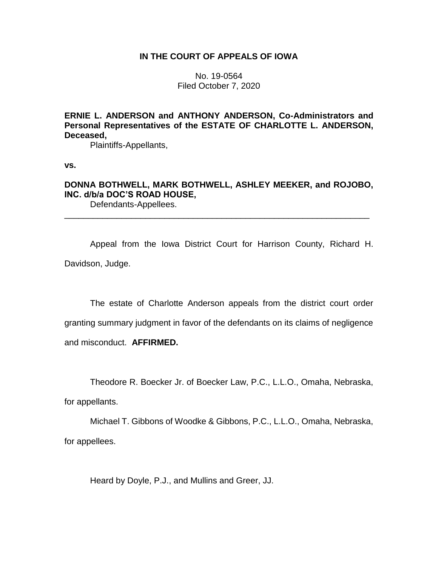# **IN THE COURT OF APPEALS OF IOWA**

No. 19-0564 Filed October 7, 2020

**ERNIE L. ANDERSON and ANTHONY ANDERSON, Co-Administrators and Personal Representatives of the ESTATE OF CHARLOTTE L. ANDERSON, Deceased,**

Plaintiffs-Appellants,

**vs.**

**DONNA BOTHWELL, MARK BOTHWELL, ASHLEY MEEKER, and ROJOBO, INC. d/b/a DOC'S ROAD HOUSE,**

\_\_\_\_\_\_\_\_\_\_\_\_\_\_\_\_\_\_\_\_\_\_\_\_\_\_\_\_\_\_\_\_\_\_\_\_\_\_\_\_\_\_\_\_\_\_\_\_\_\_\_\_\_\_\_\_\_\_\_\_\_\_\_\_

Defendants-Appellees.

Appeal from the Iowa District Court for Harrison County, Richard H. Davidson, Judge.

The estate of Charlotte Anderson appeals from the district court order granting summary judgment in favor of the defendants on its claims of negligence and misconduct. **AFFIRMED.**

Theodore R. Boecker Jr. of Boecker Law, P.C., L.L.O., Omaha, Nebraska,

for appellants.

Michael T. Gibbons of Woodke & Gibbons, P.C., L.L.O., Omaha, Nebraska, for appellees.

Heard by Doyle, P.J., and Mullins and Greer, JJ.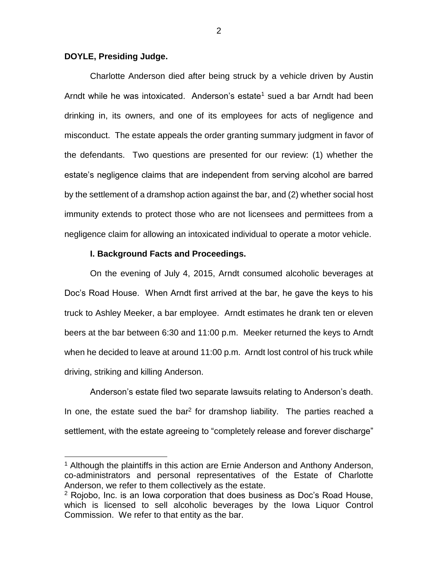# **DOYLE, Presiding Judge.**

 $\overline{a}$ 

Charlotte Anderson died after being struck by a vehicle driven by Austin Arndt while he was intoxicated. Anderson's estate<sup>1</sup> sued a bar Arndt had been drinking in, its owners, and one of its employees for acts of negligence and misconduct. The estate appeals the order granting summary judgment in favor of the defendants. Two questions are presented for our review: (1) whether the estate's negligence claims that are independent from serving alcohol are barred by the settlement of a dramshop action against the bar, and (2) whether social host immunity extends to protect those who are not licensees and permittees from a negligence claim for allowing an intoxicated individual to operate a motor vehicle.

# **I. Background Facts and Proceedings.**

On the evening of July 4, 2015, Arndt consumed alcoholic beverages at Doc's Road House. When Arndt first arrived at the bar, he gave the keys to his truck to Ashley Meeker, a bar employee. Arndt estimates he drank ten or eleven beers at the bar between 6:30 and 11:00 p.m. Meeker returned the keys to Arndt when he decided to leave at around 11:00 p.m. Arndt lost control of his truck while driving, striking and killing Anderson.

Anderson's estate filed two separate lawsuits relating to Anderson's death. In one, the estate sued the bar<sup>2</sup> for dramshop liability. The parties reached a settlement, with the estate agreeing to "completely release and forever discharge"

<sup>&</sup>lt;sup>1</sup> Although the plaintiffs in this action are Ernie Anderson and Anthony Anderson, co-administrators and personal representatives of the Estate of Charlotte Anderson, we refer to them collectively as the estate.

 $2$  Rojobo, Inc. is an Iowa corporation that does business as Doc's Road House, which is licensed to sell alcoholic beverages by the Iowa Liquor Control Commission. We refer to that entity as the bar.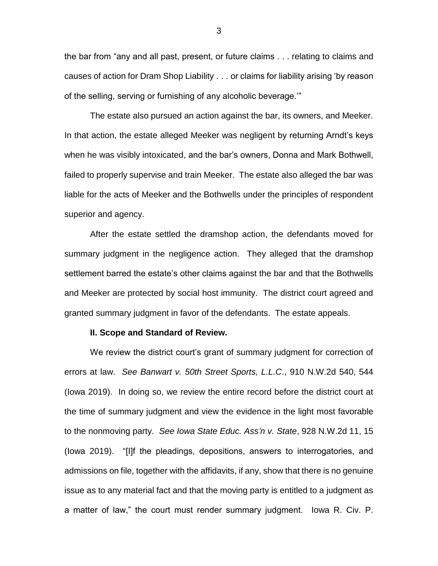the bar from "any and all past, present, or future claims . . . relating to claims and causes of action for Dram Shop Liability . . . or claims for liability arising 'by reason of the selling, serving or furnishing of any alcoholic beverage.'"

The estate also pursued an action against the bar, its owners, and Meeker. In that action, the estate alleged Meeker was negligent by returning Arndt's keys when he was visibly intoxicated, and the bar's owners, Donna and Mark Bothwell, failed to properly supervise and train Meeker. The estate also alleged the bar was liable for the acts of Meeker and the Bothwells under the principles of respondent superior and agency.

After the estate settled the dramshop action, the defendants moved for summary judgment in the negligence action. They alleged that the dramshop settlement barred the estate's other claims against the bar and that the Bothwells and Meeker are protected by social host immunity. The district court agreed and granted summary judgment in favor of the defendants. The estate appeals.

## **II. Scope and Standard of Review.**

We review the district court's grant of summary judgment for correction of errors at law. *See Banwart v. 50th Street Sports, L.L.C*., 910 N.W.2d 540, 544 (Iowa 2019). In doing so, we review the entire record before the district court at the time of summary judgment and view the evidence in the light most favorable to the nonmoving party. *See Iowa State Educ. Ass'n v. State*, 928 N.W.2d 11, 15 (Iowa 2019). "[I]f the pleadings, depositions, answers to interrogatories, and admissions on file, together with the affidavits, if any, show that there is no genuine issue as to any material fact and that the moving party is entitled to a judgment as a matter of law," the court must render summary judgment. Iowa R. Civ. P.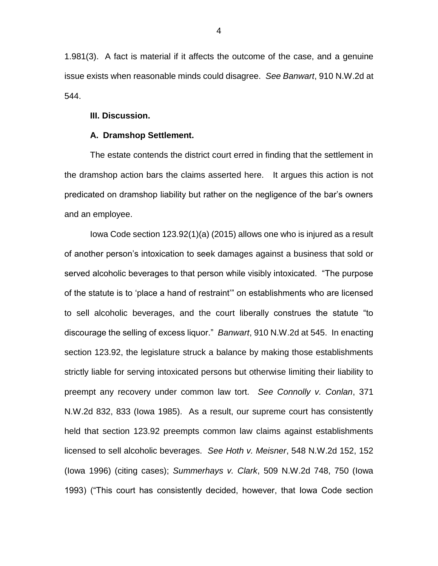1.981(3). A fact is material if it affects the outcome of the case, and a genuine issue exists when reasonable minds could disagree. *See Banwart*, 910 N.W.2d at 544.

### **III. Discussion.**

## **A. Dramshop Settlement.**

The estate contends the district court erred in finding that the settlement in the dramshop action bars the claims asserted here. It argues this action is not predicated on dramshop liability but rather on the negligence of the bar's owners and an employee.

Iowa Code section 123.92(1)(a) (2015) allows one who is injured as a result of another person's intoxication to seek damages against a business that sold or served alcoholic beverages to that person while visibly intoxicated. "The purpose of the statute is to 'place a hand of restraint'" on establishments who are licensed to sell alcoholic beverages, and the court liberally construes the statute "to discourage the selling of excess liquor." *Banwart*, 910 N.W.2d at 545. In enacting section 123.92, the legislature struck a balance by making those establishments strictly liable for serving intoxicated persons but otherwise limiting their liability to preempt any recovery under common law tort. *See Connolly v. Conlan*, 371 N.W.2d 832, 833 (Iowa 1985). As a result, our supreme court has consistently held that section 123.92 preempts common law claims against establishments licensed to sell alcoholic beverages. *See Hoth v. Meisner*, 548 N.W.2d 152, 152 (Iowa 1996) (citing cases); *Summerhays v. Clark*, 509 N.W.2d 748, 750 (Iowa 1993) ("This court has consistently decided, however, that Iowa Code section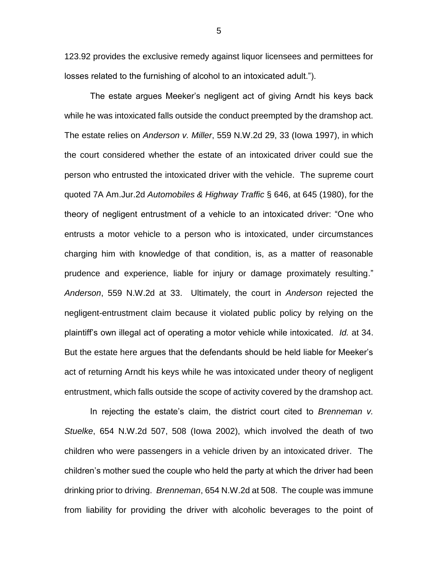123.92 provides the exclusive remedy against liquor licensees and permittees for losses related to the furnishing of alcohol to an intoxicated adult.").

The estate argues Meeker's negligent act of giving Arndt his keys back while he was intoxicated falls outside the conduct preempted by the dramshop act. The estate relies on *Anderson v. Miller*, 559 N.W.2d 29, 33 (Iowa 1997), in which the court considered whether the estate of an intoxicated driver could sue the person who entrusted the intoxicated driver with the vehicle. The supreme court quoted 7A Am.Jur.2d *Automobiles & Highway Traffic* § 646, at 645 (1980), for the theory of negligent entrustment of a vehicle to an intoxicated driver: "One who entrusts a motor vehicle to a person who is intoxicated, under circumstances charging him with knowledge of that condition, is, as a matter of reasonable prudence and experience, liable for injury or damage proximately resulting." *Anderson*, 559 N.W.2d at 33. Ultimately, the court in *Anderson* rejected the negligent-entrustment claim because it violated public policy by relying on the plaintiff's own illegal act of operating a motor vehicle while intoxicated. *Id.* at 34. But the estate here argues that the defendants should be held liable for Meeker's act of returning Arndt his keys while he was intoxicated under theory of negligent entrustment, which falls outside the scope of activity covered by the dramshop act.

In rejecting the estate's claim, the district court cited to *Brenneman v. Stuelke*, 654 N.W.2d 507, 508 (Iowa 2002), which involved the death of two children who were passengers in a vehicle driven by an intoxicated driver. The children's mother sued the couple who held the party at which the driver had been drinking prior to driving. *Brenneman*, 654 N.W.2d at 508. The couple was immune from liability for providing the driver with alcoholic beverages to the point of

5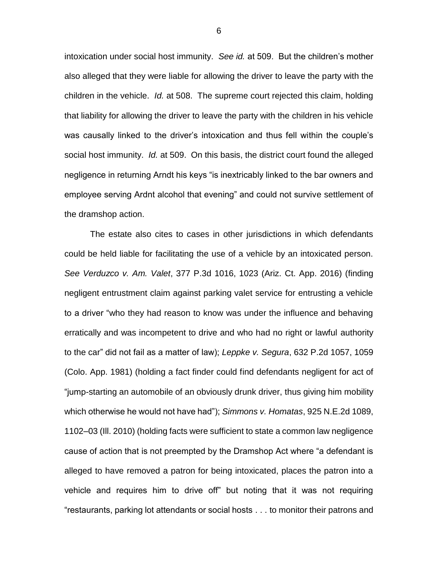intoxication under social host immunity. *See id.* at 509. But the children's mother also alleged that they were liable for allowing the driver to leave the party with the children in the vehicle. *Id.* at 508. The supreme court rejected this claim, holding that liability for allowing the driver to leave the party with the children in his vehicle was causally linked to the driver's intoxication and thus fell within the couple's social host immunity. *Id.* at 509. On this basis, the district court found the alleged negligence in returning Arndt his keys "is inextricably linked to the bar owners and employee serving Ardnt alcohol that evening" and could not survive settlement of the dramshop action.

The estate also cites to cases in other jurisdictions in which defendants could be held liable for facilitating the use of a vehicle by an intoxicated person. *See Verduzco v. Am. Valet*, 377 P.3d 1016, 1023 (Ariz. Ct. App. 2016) (finding negligent entrustment claim against parking valet service for entrusting a vehicle to a driver "who they had reason to know was under the influence and behaving erratically and was incompetent to drive and who had no right or lawful authority to the car" did not fail as a matter of law); *Leppke v. Segura*, 632 P.2d 1057, 1059 (Colo. App. 1981) (holding a fact finder could find defendants negligent for act of "jump-starting an automobile of an obviously drunk driver, thus giving him mobility which otherwise he would not have had"); *Simmons v. Homatas*, 925 N.E.2d 1089, 1102–03 (Ill. 2010) (holding facts were sufficient to state a common law negligence cause of action that is not preempted by the Dramshop Act where "a defendant is alleged to have removed a patron for being intoxicated, places the patron into a vehicle and requires him to drive off" but noting that it was not requiring "restaurants, parking lot attendants or social hosts . . . to monitor their patrons and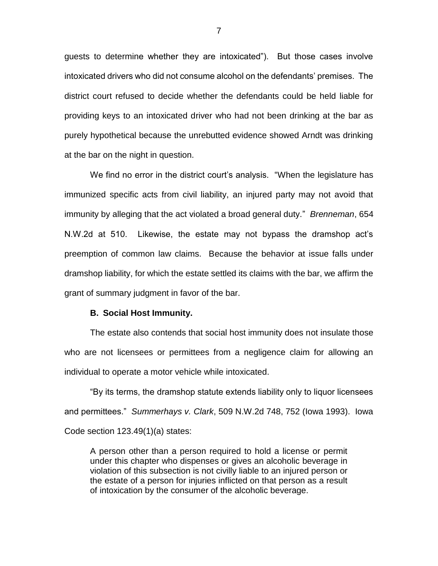guests to determine whether they are intoxicated"). But those cases involve intoxicated drivers who did not consume alcohol on the defendants' premises. The district court refused to decide whether the defendants could be held liable for providing keys to an intoxicated driver who had not been drinking at the bar as purely hypothetical because the unrebutted evidence showed Arndt was drinking at the bar on the night in question.

We find no error in the district court's analysis. "When the legislature has immunized specific acts from civil liability, an injured party may not avoid that immunity by alleging that the act violated a broad general duty." *Brenneman*, 654 N.W.2d at 510. Likewise, the estate may not bypass the dramshop act's preemption of common law claims. Because the behavior at issue falls under dramshop liability, for which the estate settled its claims with the bar, we affirm the grant of summary judgment in favor of the bar.

#### **B. Social Host Immunity.**

The estate also contends that social host immunity does not insulate those who are not licensees or permittees from a negligence claim for allowing an individual to operate a motor vehicle while intoxicated.

"By its terms, the dramshop statute extends liability only to liquor licensees and permittees." *Summerhays v. Clark*, 509 N.W.2d 748, 752 (Iowa 1993). Iowa Code section 123.49(1)(a) states:

A person other than a person required to hold a license or permit under this chapter who dispenses or gives an alcoholic beverage in violation of this subsection is not civilly liable to an injured person or the estate of a person for injuries inflicted on that person as a result of intoxication by the consumer of the alcoholic beverage.